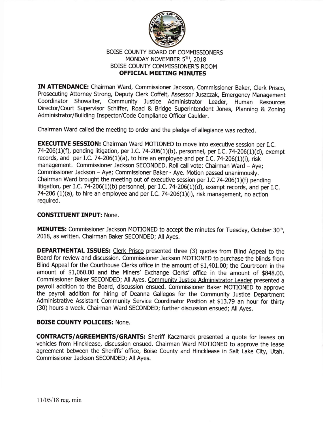

## BOISE COUNTY BOARD OF COMMISSIONERS MONDAY NOVEMBER 5TH, 2018 BOISE COUNTY COMMISSIONER'S ROOM OFFICIAL MEETING MINUTES

IN ATTENDANCE: Chairman Ward, Commissioner Jackson, Commissioner Baker, Clerk Prisco, Prosecuting Attorney Strong, Deputy Clerk Coffelt, Assessor Juszczak, Emergency Management Coordinator Showalter, Community Justice Administrator Leader, Human Resources Director/court supervisor schiffer, Road & Bridge superintendent Jones, planning & Zoning Administrator/Building Inspector/Code Compliance Officer Caulder.

Chairman Ward called the meeting to order and the pledge of allegiance was recited.

**EXECUTIVE SESSION:** Chairman Ward MOTIONED to move into executive session per I.C. 74-206(1)(f), pending litigation, per I.C. 74-206(1)(b), personnel, per I.C. 74-206(1)(d), exempt records, and per I.C. 74-206(1)(a), to hire an employee and per I.C. 74-206(1)(i), risk management. Commissioner Jackson SECONDED. Roll call vote: Chairman Ward - Aye; Commissioner Jackson - Aye; Commissioner Baker - Aye. Motion passed unanimously. Chairman Ward brought the meeting out of executive session per I.C 74-206(1)(f) pending litigation, per LC.74-206(1)(b) personnel, per I,C.74-206(1)(d), exempt records, and per I.C. 74-206 (1)(a), to hire an employee and per I.C. 74-206(1)(i), risk management, no action required.

## CONSTITUENT INPUT: None.

MINUTES: Commissioner Jackson MOTIONED to accept the minutes for Tuesday, October 30th, 2018, as written. Chairman Baker SECONDED; All Ayes.

**DEPARTMENTAL ISSUES:** Clerk Prisco presented three (3) quotes from Blind Appeal to the Board for review and discussion. Commissioner Jackson MOTIONED to purchase the blinds from Blind Appeal for the Courthouse Clerks office in the amount of \$1,401.00; the Courtroom in the amount of \$1,060.00 and the Miners' Exchange Clerks' office in the amount of \$848.00. Commissioner Baker SECONDED; All Ayes. Communitv Justice Administrator Leader presented a payroll addition to the Board, discussion ensued. Commissioner Baker MOTIONED to approve the payroll addition for hiring of Deanna Gallegos for the community Justice Department Administrative Assistant Community Service Coordinator Position at \$13.79 an hour for thirty (30) hours a week. Chairman Ward SECONDED; further discussion ensued; All Ayes.

## BOISE COUNTY POLICIES: None.

CONTRACTS/AGREEMENTS/GRANTS: Sheriff Kaczmarek presented a quote for leases on vehicles from Hincklease, discussion ensued. Chairman Ward MOTIONED to approve the lease agreement between the Sheriffs'office, Boise County and Hincklease in Salt Lake City, Utah. Commissioner Jackson SECONDED; All Ayes.